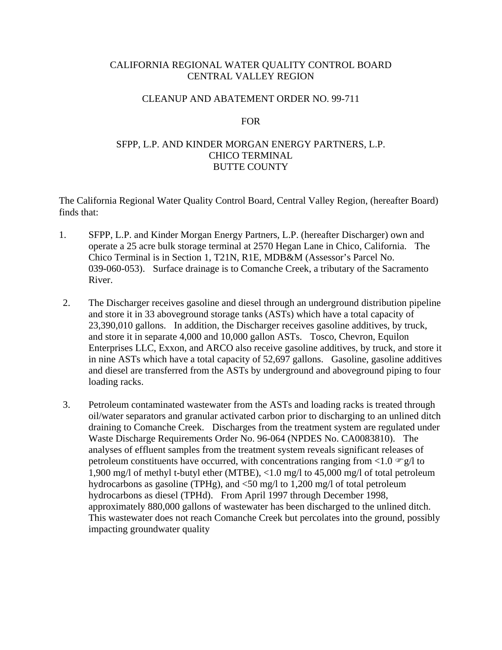## CALIFORNIA REGIONAL WATER QUALITY CONTROL BOARD CENTRAL VALLEY REGION

### CLEANUP AND ABATEMENT ORDER NO. 99-711

#### FOR

# SFPP, L.P. AND KINDER MORGAN ENERGY PARTNERS, L.P. CHICO TERMINAL BUTTE COUNTY

The California Regional Water Quality Control Board, Central Valley Region, (hereafter Board) finds that:

- 1. SFPP, L.P. and Kinder Morgan Energy Partners, L.P. (hereafter Discharger) own and operate a 25 acre bulk storage terminal at 2570 Hegan Lane in Chico, California. The Chico Terminal is in Section 1, T21N, R1E, MDB&M (Assessor's Parcel No. 039-060-053). Surface drainage is to Comanche Creek, a tributary of the Sacramento River.
- 2. The Discharger receives gasoline and diesel through an underground distribution pipeline and store it in 33 aboveground storage tanks (ASTs) which have a total capacity of 23,390,010 gallons. In addition, the Discharger receives gasoline additives, by truck, and store it in separate 4,000 and 10,000 gallon ASTs. Tosco, Chevron, Equilon Enterprises LLC, Exxon, and ARCO also receive gasoline additives, by truck, and store it in nine ASTs which have a total capacity of 52,697 gallons. Gasoline, gasoline additives and diesel are transferred from the ASTs by underground and aboveground piping to four loading racks.
- 3. Petroleum contaminated wastewater from the ASTs and loading racks is treated through oil/water separators and granular activated carbon prior to discharging to an unlined ditch draining to Comanche Creek. Discharges from the treatment system are regulated under Waste Discharge Requirements Order No. 96-064 (NPDES No. CA0083810). The analyses of effluent samples from the treatment system reveals significant releases of petroleum constituents have occurred, with concentrations ranging from  $\langle 1.0 \, \text{m/s} \rangle$  to 1,900 mg/l of methyl t-butyl ether (MTBE), <1.0 mg/l to 45,000 mg/l of total petroleum hydrocarbons as gasoline (TPHg), and <50 mg/l to 1,200 mg/l of total petroleum hydrocarbons as diesel (TPHd). From April 1997 through December 1998, approximately 880,000 gallons of wastewater has been discharged to the unlined ditch. This wastewater does not reach Comanche Creek but percolates into the ground, possibly impacting groundwater quality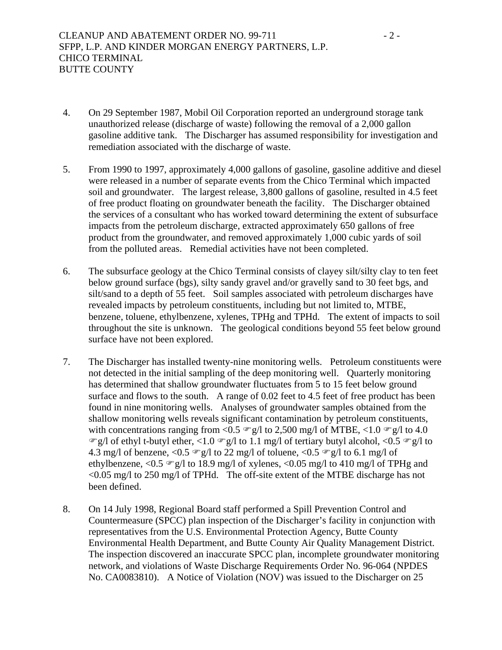- 4. On 29 September 1987, Mobil Oil Corporation reported an underground storage tank unauthorized release (discharge of waste) following the removal of a 2,000 gallon gasoline additive tank. The Discharger has assumed responsibility for investigation and remediation associated with the discharge of waste.
- 5. From 1990 to 1997, approximately 4,000 gallons of gasoline, gasoline additive and diesel were released in a number of separate events from the Chico Terminal which impacted soil and groundwater. The largest release, 3,800 gallons of gasoline, resulted in 4.5 feet of free product floating on groundwater beneath the facility. The Discharger obtained the services of a consultant who has worked toward determining the extent of subsurface impacts from the petroleum discharge, extracted approximately 650 gallons of free product from the groundwater, and removed approximately 1,000 cubic yards of soil from the polluted areas. Remedial activities have not been completed.
- 6. The subsurface geology at the Chico Terminal consists of clayey silt/silty clay to ten feet below ground surface (bgs), silty sandy gravel and/or gravelly sand to 30 feet bgs, and silt/sand to a depth of 55 feet. Soil samples associated with petroleum discharges have revealed impacts by petroleum constituents, including but not limited to, MTBE, benzene, toluene, ethylbenzene, xylenes, TPHg and TPHd. The extent of impacts to soil throughout the site is unknown. The geological conditions beyond 55 feet below ground surface have not been explored.
- 7. The Discharger has installed twenty-nine monitoring wells. Petroleum constituents were not detected in the initial sampling of the deep monitoring well. Quarterly monitoring has determined that shallow groundwater fluctuates from 5 to 15 feet below ground surface and flows to the south. A range of 0.02 feet to 4.5 feet of free product has been found in nine monitoring wells. Analyses of groundwater samples obtained from the shallow monitoring wells reveals significant contamination by petroleum constituents, with concentrations ranging from <0.5  $\degree$  g/l to 2,500 mg/l of MTBE, <1.0  $\degree$  g/l to 4.0  $\mathcal{F}g/l$  of ethyl t-butyl ether, <1.0  $\mathcal{F}g/l$  to 1.1 mg/l of tertiary butyl alcohol, <0.5  $\mathcal{F}g/l$  to 4.3 mg/l of benzene, <0.5  $\degree$  g/l to 22 mg/l of toluene, <0.5  $\degree$  g/l to 6.1 mg/l of ethylbenzene, <0.5  $\degree$  g/l to 18.9 mg/l of xylenes, <0.05 mg/l to 410 mg/l of TPHg and <0.05 mg/l to 250 mg/l of TPHd. The off-site extent of the MTBE discharge has not been defined.
- 8. On 14 July 1998, Regional Board staff performed a Spill Prevention Control and Countermeasure (SPCC) plan inspection of the Discharger's facility in conjunction with representatives from the U.S. Environmental Protection Agency, Butte County Environmental Health Department, and Butte County Air Quality Management District. The inspection discovered an inaccurate SPCC plan, incomplete groundwater monitoring network, and violations of Waste Discharge Requirements Order No. 96-064 (NPDES No. CA0083810). A Notice of Violation (NOV) was issued to the Discharger on 25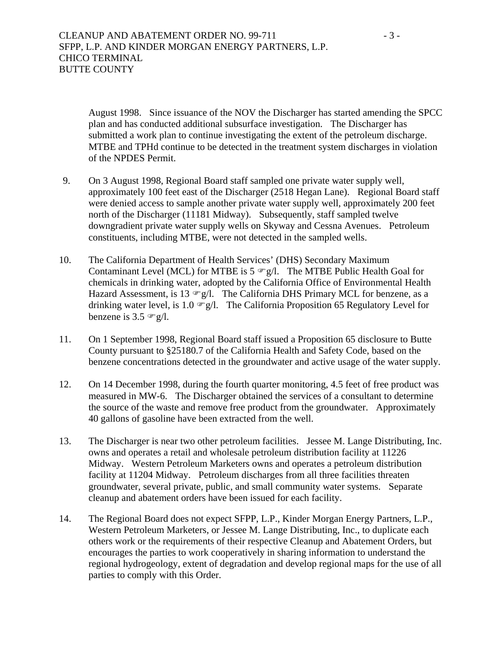CLEANUP AND ABATEMENT ORDER NO. 99-711 - 3 -SFPP, L.P. AND KINDER MORGAN ENERGY PARTNERS, L.P. CHICO TERMINAL BUTTE COUNTY

August 1998. Since issuance of the NOV the Discharger has started amending the SPCC plan and has conducted additional subsurface investigation. The Discharger has submitted a work plan to continue investigating the extent of the petroleum discharge. MTBE and TPHd continue to be detected in the treatment system discharges in violation of the NPDES Permit.

- 9. On 3 August 1998, Regional Board staff sampled one private water supply well, approximately 100 feet east of the Discharger (2518 Hegan Lane). Regional Board staff were denied access to sample another private water supply well, approximately 200 feet north of the Discharger (11181 Midway). Subsequently, staff sampled twelve downgradient private water supply wells on Skyway and Cessna Avenues. Petroleum constituents, including MTBE, were not detected in the sampled wells.
- 10. The California Department of Health Services' (DHS) Secondary Maximum Contaminant Level (MCL) for MTBE is  $5 \in g/l$ . The MTBE Public Health Goal for chemicals in drinking water, adopted by the California Office of Environmental Health Hazard Assessment, is 13  $\mathcal{F}g/l$ . The California DHS Primary MCL for benzene, as a drinking water level, is 1.0  $\mathcal{F}g/l$ . The California Proposition 65 Regulatory Level for benzene is  $3.5 \text{ cm/s}$ .
- 11. On 1 September 1998, Regional Board staff issued a Proposition 65 disclosure to Butte County pursuant to §25180.7 of the California Health and Safety Code, based on the benzene concentrations detected in the groundwater and active usage of the water supply.
- 12. On 14 December 1998, during the fourth quarter monitoring, 4.5 feet of free product was measured in MW-6. The Discharger obtained the services of a consultant to determine the source of the waste and remove free product from the groundwater. Approximately 40 gallons of gasoline have been extracted from the well.
- 13. The Discharger is near two other petroleum facilities. Jessee M. Lange Distributing, Inc. owns and operates a retail and wholesale petroleum distribution facility at 11226 Midway. Western Petroleum Marketers owns and operates a petroleum distribution facility at 11204 Midway. Petroleum discharges from all three facilities threaten groundwater, several private, public, and small community water systems. Separate cleanup and abatement orders have been issued for each facility.
- 14. The Regional Board does not expect SFPP, L.P., Kinder Morgan Energy Partners, L.P., Western Petroleum Marketers, or Jessee M. Lange Distributing, Inc., to duplicate each others work or the requirements of their respective Cleanup and Abatement Orders, but encourages the parties to work cooperatively in sharing information to understand the regional hydrogeology, extent of degradation and develop regional maps for the use of all parties to comply with this Order.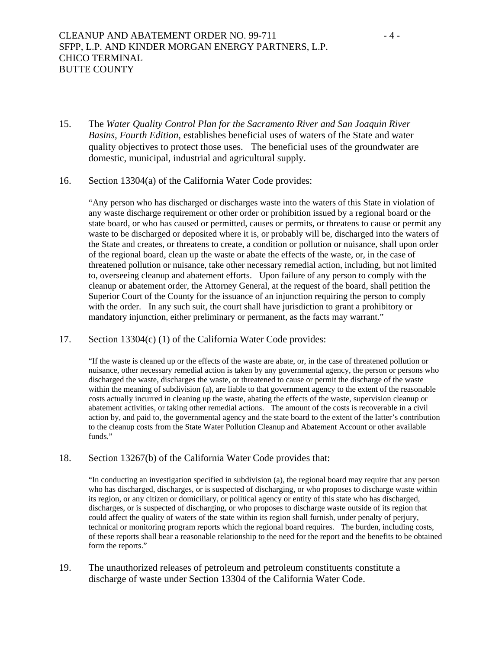- 15. The *Water Quality Control Plan for the Sacramento River and San Joaquin River Basins, Fourth Edition*, establishes beneficial uses of waters of the State and water quality objectives to protect those uses. The beneficial uses of the groundwater are domestic, municipal, industrial and agricultural supply.
- 16. Section 13304(a) of the California Water Code provides:

"Any person who has discharged or discharges waste into the waters of this State in violation of any waste discharge requirement or other order or prohibition issued by a regional board or the state board, or who has caused or permitted, causes or permits, or threatens to cause or permit any waste to be discharged or deposited where it is, or probably will be, discharged into the waters of the State and creates, or threatens to create, a condition or pollution or nuisance, shall upon order of the regional board, clean up the waste or abate the effects of the waste, or, in the case of threatened pollution or nuisance, take other necessary remedial action, including, but not limited to, overseeing cleanup and abatement efforts. Upon failure of any person to comply with the cleanup or abatement order, the Attorney General, at the request of the board, shall petition the Superior Court of the County for the issuance of an injunction requiring the person to comply with the order. In any such suit, the court shall have jurisdiction to grant a prohibitory or mandatory injunction, either preliminary or permanent, as the facts may warrant."

17. Section 13304(c) (1) of the California Water Code provides:

"If the waste is cleaned up or the effects of the waste are abate, or, in the case of threatened pollution or nuisance, other necessary remedial action is taken by any governmental agency, the person or persons who discharged the waste, discharges the waste, or threatened to cause or permit the discharge of the waste within the meaning of subdivision (a), are liable to that government agency to the extent of the reasonable costs actually incurred in cleaning up the waste, abating the effects of the waste, supervision cleanup or abatement activities, or taking other remedial actions. The amount of the costs is recoverable in a civil action by, and paid to, the governmental agency and the state board to the extent of the latter's contribution to the cleanup costs from the State Water Pollution Cleanup and Abatement Account or other available funds"

18. Section 13267(b) of the California Water Code provides that:

"In conducting an investigation specified in subdivision (a), the regional board may require that any person who has discharged, discharges, or is suspected of discharging, or who proposes to discharge waste within its region, or any citizen or domiciliary, or political agency or entity of this state who has discharged, discharges, or is suspected of discharging, or who proposes to discharge waste outside of its region that could affect the quality of waters of the state within its region shall furnish, under penalty of perjury, technical or monitoring program reports which the regional board requires. The burden, including costs, of these reports shall bear a reasonable relationship to the need for the report and the benefits to be obtained form the reports."

19. The unauthorized releases of petroleum and petroleum constituents constitute a discharge of waste under Section 13304 of the California Water Code.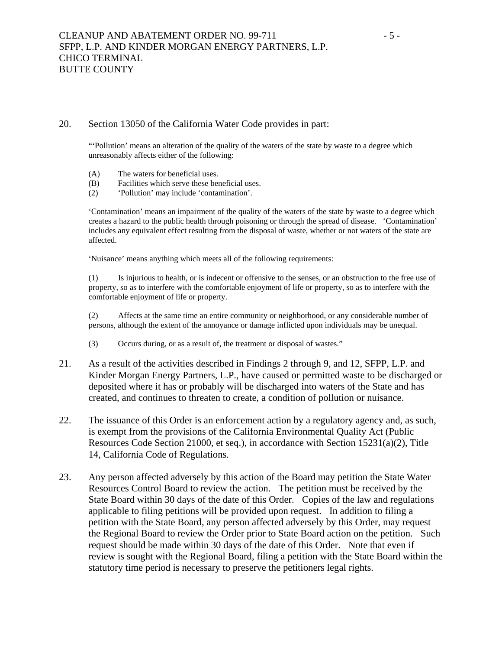#### 20. Section 13050 of the California Water Code provides in part:

"'Pollution' means an alteration of the quality of the waters of the state by waste to a degree which unreasonably affects either of the following:

- (A) The waters for beneficial uses.
- (B) Facilities which serve these beneficial uses.
- (2) 'Pollution' may include 'contamination'.

'Contamination' means an impairment of the quality of the waters of the state by waste to a degree which creates a hazard to the public health through poisoning or through the spread of disease. 'Contamination' includes any equivalent effect resulting from the disposal of waste, whether or not waters of the state are affected.

'Nuisance' means anything which meets all of the following requirements:

(1) Is injurious to health, or is indecent or offensive to the senses, or an obstruction to the free use of property, so as to interfere with the comfortable enjoyment of life or property, so as to interfere with the comfortable enjoyment of life or property.

(2) Affects at the same time an entire community or neighborhood, or any considerable number of persons, although the extent of the annoyance or damage inflicted upon individuals may be unequal.

- (3) Occurs during, or as a result of, the treatment or disposal of wastes."
- 21. As a result of the activities described in Findings 2 through 9, and 12, SFPP, L.P. and Kinder Morgan Energy Partners, L.P., have caused or permitted waste to be discharged or deposited where it has or probably will be discharged into waters of the State and has created, and continues to threaten to create, a condition of pollution or nuisance.
- 22. The issuance of this Order is an enforcement action by a regulatory agency and, as such, is exempt from the provisions of the California Environmental Quality Act (Public Resources Code Section 21000, et seq.), in accordance with Section 15231(a)(2), Title 14, California Code of Regulations.
- 23. Any person affected adversely by this action of the Board may petition the State Water Resources Control Board to review the action. The petition must be received by the State Board within 30 days of the date of this Order. Copies of the law and regulations applicable to filing petitions will be provided upon request. In addition to filing a petition with the State Board, any person affected adversely by this Order, may request the Regional Board to review the Order prior to State Board action on the petition. Such request should be made within 30 days of the date of this Order. Note that even if review is sought with the Regional Board, filing a petition with the State Board within the statutory time period is necessary to preserve the petitioners legal rights.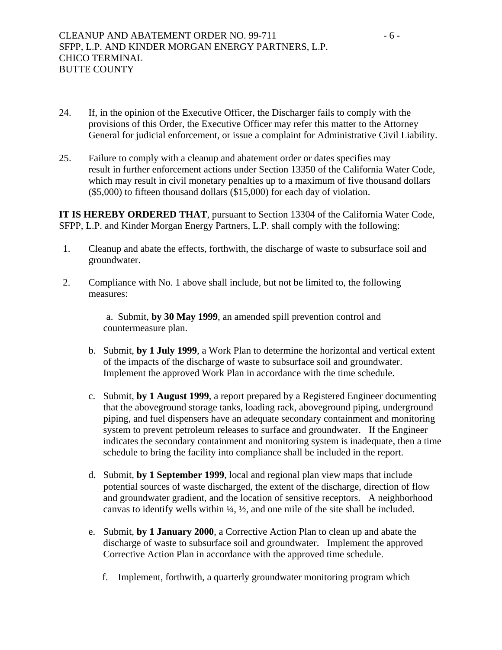- 24. If, in the opinion of the Executive Officer, the Discharger fails to comply with the provisions of this Order, the Executive Officer may refer this matter to the Attorney General for judicial enforcement, or issue a complaint for Administrative Civil Liability.
- 25. Failure to comply with a cleanup and abatement order or dates specifies may result in further enforcement actions under Section 13350 of the California Water Code, which may result in civil monetary penalties up to a maximum of five thousand dollars (\$5,000) to fifteen thousand dollars (\$15,000) for each day of violation.

**IT IS HEREBY ORDERED THAT**, pursuant to Section 13304 of the California Water Code, SFPP, L.P. and Kinder Morgan Energy Partners, L.P. shall comply with the following:

- 1. Cleanup and abate the effects, forthwith, the discharge of waste to subsurface soil and groundwater.
- 2. Compliance with No. 1 above shall include, but not be limited to, the following measures:

 a. Submit, **by 30 May 1999**, an amended spill prevention control and countermeasure plan.

- b. Submit, **by 1 July 1999**, a Work Plan to determine the horizontal and vertical extent of the impacts of the discharge of waste to subsurface soil and groundwater. Implement the approved Work Plan in accordance with the time schedule.
- c. Submit, **by 1 August 1999**, a report prepared by a Registered Engineer documenting that the aboveground storage tanks, loading rack, aboveground piping, underground piping, and fuel dispensers have an adequate secondary containment and monitoring system to prevent petroleum releases to surface and groundwater. If the Engineer indicates the secondary containment and monitoring system is inadequate, then a time schedule to bring the facility into compliance shall be included in the report.
- d. Submit, **by 1 September 1999**, local and regional plan view maps that include potential sources of waste discharged, the extent of the discharge, direction of flow and groundwater gradient, and the location of sensitive receptors. A neighborhood canvas to identify wells within ¼, ½, and one mile of the site shall be included.
- e. Submit, **by 1 January 2000**, a Corrective Action Plan to clean up and abate the discharge of waste to subsurface soil and groundwater. Implement the approved Corrective Action Plan in accordance with the approved time schedule.
	- f. Implement, forthwith, a quarterly groundwater monitoring program which